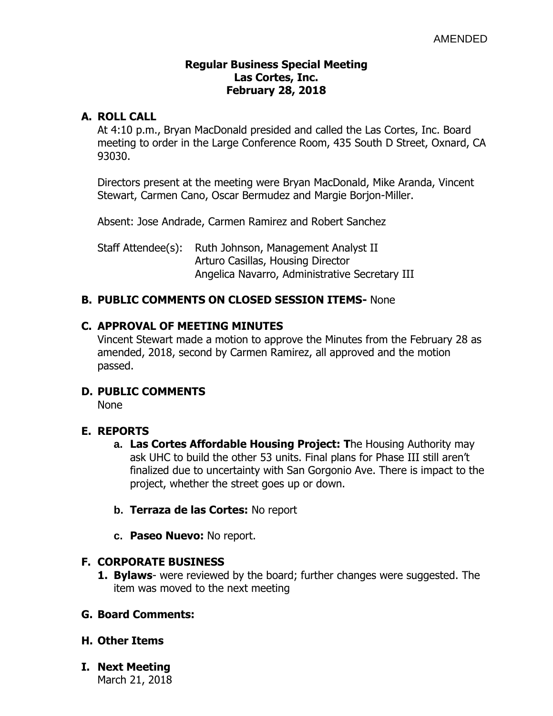#### **Regular Business Special Meeting Las Cortes, Inc. February 28, 2018**

### **A. ROLL CALL**

At 4:10 p.m., Bryan MacDonald presided and called the Las Cortes, Inc. Board meeting to order in the Large Conference Room, 435 South D Street, Oxnard, CA 93030.

Directors present at the meeting were Bryan MacDonald, Mike Aranda, Vincent Stewart, Carmen Cano, Oscar Bermudez and Margie Borjon-Miller.

Absent: Jose Andrade, Carmen Ramirez and Robert Sanchez

Staff Attendee(s): Ruth Johnson, Management Analyst II Arturo Casillas, Housing Director Angelica Navarro, Administrative Secretary III

# **B. PUBLIC COMMENTS ON CLOSED SESSION ITEMS-** None

#### **C. APPROVAL OF MEETING MINUTES**

Vincent Stewart made a motion to approve the Minutes from the February 28 as amended, 2018, second by Carmen Ramirez, all approved and the motion passed.

# **D. PUBLIC COMMENTS**

None

# **E. REPORTS**

- **a. Las Cortes Affordable Housing Project: T**he Housing Authority may ask UHC to build the other 53 units. Final plans for Phase III still aren't finalized due to uncertainty with San Gorgonio Ave. There is impact to the project, whether the street goes up or down.
- **b. Terraza de las Cortes:** No report
- **c. Paseo Nuevo:** No report.

# **F. CORPORATE BUSINESS**

**1. Bylaws**- were reviewed by the board; further changes were suggested. The item was moved to the next meeting

#### **G. Board Comments:**

- **H. Other Items**
- **I. Next Meeting** March 21, 2018